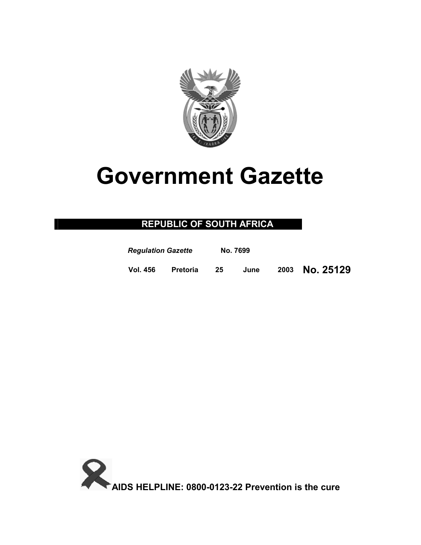

# **Government Gazette**

# **REPUBLIC OF SOUTH AFRICA**

| <b>Regulation Gazette</b> |                 | No. 7699 |      |                |
|---------------------------|-----------------|----------|------|----------------|
| <b>Vol. 456</b>           | <b>Pretoria</b> | 25       | June | 2003 No. 25129 |

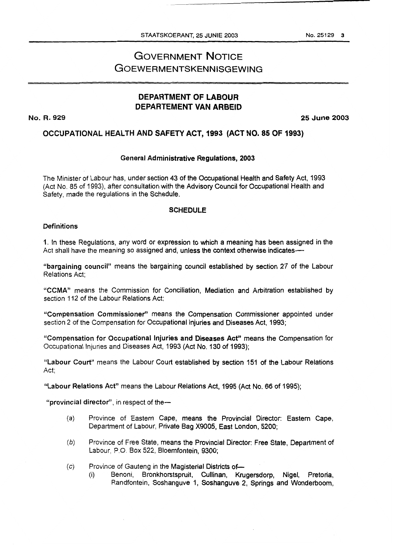## **DEPARTMENT OF LABOUR DEPARTEMENT VAN ARBEID**

**No. R. 929 25June2003** 

### **OCCUPATIONAL HEALTH AND SAFETY ACT, 1993 (ACT NO. 85 OF 1993)**

#### General Administrative Regulations, **2003**

The Minister of Labour has, under section 43 of the Occupational Health and Safety Act, 1993 (Act No. 85 of 1993), after consultation with the Advisory Council for Occupational Health and Safety, made the regulations in the Schedule.

#### **SCHEDULE**

#### **Definitions**

**1.** In these Regulations, any word or expression to which a meaning has been assigned in the Act shall have the meaning so assigned and, unless the context otherwise indicates---

"bargaining council" means the bargaining council established **by** section 27 of the Labour Relations Act;

"CCMA" means the Commission for Conciliation, Mediation and Arbitration established by section 112 of the Labour Relations Act;

"Compensation Commissioner" means the Compensation Commissioner appointed under section 2 of the Compensation for Occupational Injuries and Diseases Act, 1993;

"Compensation for Occupational Injuries and Diseases **Act"** means the Compensation for Occupational Injuries and Diseases Act, 1993 (Act No. 130 of 1993);

"Labour Court" means the Labour Court established by section 151 of the Labour Relations Act:

"Labour Relations Act" means the Labour Relations Act, 1995 (Act No. **66** of 1995);

"provincial director", in respect of the-

- (a) Province of Eastern Cape, means the Provincial Director: Eastern Cape, Department of Labour, Private Bag X9005, East London, **5200;**
- *(b)* Province of Free State, means the Provincial Director: Free State, Department of Labour, P.O. Box 522, Bloemfontein, 9300;
- (c) Province of Gauteng in the Magisterial Districts of-
	- (i) Benoni, Bronkhorstspruit, Cullinan, Kmgersdorp, Nigel, Pretoria, Randfontein, Soshanguve 1, Soshanguve **2,** Springs and Wonderboom,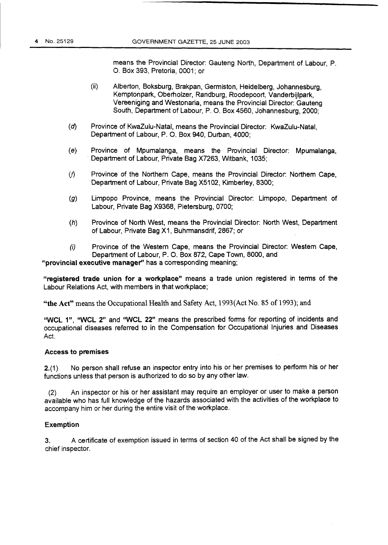means the Provincial Director: Gauteng North, Department of Labour, P. *0.* Box 393, Pretoria, 0001; or

- (ii) Alberton, Boksburg, Brakpan, Germiston, Heidelberg, Johannesburg, Kemptonpark, Oberholzer, Randburg, Roodepoort, Vanderbijlpark, Vereeniging and Westonaria, means the Provincial Director: Gauteng South, Department of Labour, P. *0.* Box 4560, Johannesburg, 2000;
- (d) Province of KwaZulu-Natal, means the Provincial Director: KwaZulu-Natal, Department of Labour, P. 0. Box **940,** Durban, 4000;
- (e) Province of Mpumalanga, means the Provincial Director: Mpumalanga, Department of Labour, Private Bag X7263, Wtbank, 1035;
- $v(t)$  Province of the Northern Cape, means the Provincial Director: Northem Cape, Department of Labour, Private Bag X5102, Kimberley, 8300;
- *(9)* Limpopo Province, means the Provincial Director: Limpopo, Department of Labour, Private Bag X9368, Pietersburg, 0700;
- *(h)* Province of North West, means the Provincial Director: North West, Department of Labour, Private Bag X1 , Buhrmansdrif, 2867; or
- *(i)* Province of the Western Cape, means the Provincial Director: Westem Cape, Department of Labour, P. *0.* Box 872, Cape Town, 8000, and

**"provincial executive manager" has** a corresponding meaning;

**"registered trade union for a workplace"** means a trade union registered in terms of the Labour Relations Act, with members in that workplace;

**"the Act"** means the Occupational Health and Safety Act, 1993(Act No. *85* of 1993); **and** 

**"WCL** I", **"WCL** 2" and **'WCL** 22" means the prescribed **forms** for reporting of incidents and occupational diseases referred to in the Compensation for Occupational Injuries and Diseases Act.

#### **Access to premises**

2.(1) No person shall refuse an inspector entry into his or her premises to perform his or her functions unless that person is authorized to do so by any other law.

(2) An inspector or his or her assistant may require an employer or user to make a person available who has full knowledge of the hazards associated with the activities of the workplace to accompany him or her during the entire visit of the workplace.

#### **Exemption**

**3.** A certificate of exemption issued in terms of section 40 of the Act shall be signed by the chief inspector.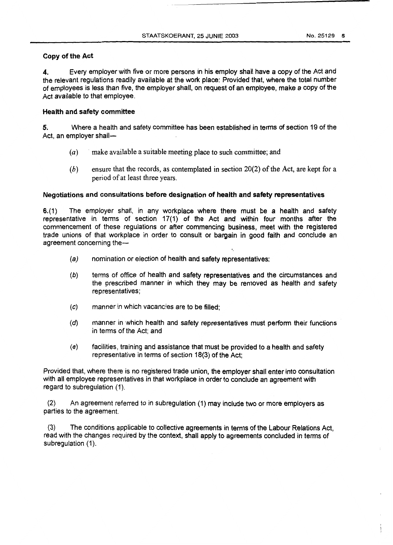#### **Copy of the Act**

**4.** Every employer with five or more persons in his employ shall have a copy of the Act and the relevant regulations readily available at the work place: Provided that, where the total number of employees is less than five, the employer shall, on request of an employee, make a copy of the Act available to that employee.

#### **Health and safety committee**

**5.** Where a health and safety committee has been established in terms of section 19 of the Act, an employer shall-

- *(a)* ' make available a suitable meeting place to such committee; and
- *(b)* ensure that the records, as contemplated in section **20(2)** of the Act, are kept for a period of at least three years.

#### **Negotiations and consultations before designation of health and safety representatives**

*641)* The employer shall, in any workplace where there must be a health and safety representative in terms of section 17(1) of the Act and within four months after the commencement of these regulations or after commencing business, meet with the registered trade unions of that workplace in order to consult or bargain in good faith and conclude an agreement concerning the-

- *(a)* nomination or election of health and safety representatives;
- **(6)** terms of office of health and safety representatives and the circumstances and the prescribed manner in which they may be removed as health and safety representatives;
- (c) manner in which vacancies are to be filled:
- (d) manner in which health and safety representatives must perform their functions in terms of the Act; and
- (e) facilities, training and assistance that must be provided to a health and safety representative in terms of section **18(3)** of the Act;

Provided that, where there is no registered trade union, the employer shall enter into consultation with all employee representatives in that workplace in order to conclude an agreement with regard *to* subregulation (1).

(2) An agreement referred to in subregulation (1) may include two or more employers as parties to the agreement.

(3) The conditions applicable to collective agreements in terms of the Labour Relations Act, read with the changes required by the context, shall apply to agreements concluded in terms of subregulation  $(1)$ .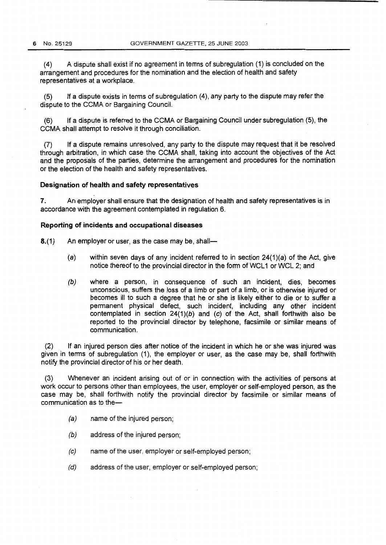**(4)** A dispute shall exist if no agreement in terms of subregulation (I) is concluded on the arrangement and procedures for the nomination and the election of health and safety representatives at a workplace.

*(5)* If a dispute exists in terms of subregulation **(4),** any party to the dispute may refer the dispute to the CCMA or Bargaining Council.

(6) If a dispute is referred to the CCMA or Bargaining Council under subregulation **(9,** the CCMA shall attempt to resolve it through conciliation.

(7) If a dispute remains unresolved, any party to the dispute may request that it be resolved through arbitration, in which case the CCMA shall, taking into account the objectives of the Act and the proposals of the parties, determine the arrangement and procedures for the nomination or the election of the health and safety representatives.

#### **Designation of health and safety representatives**

**7.** An employer shall ensure that the designation of health and safety representatives **is** in accordance with the agreement contemplated in regulation 6.

#### **Reporting of incidents and occupational diseases**

8.(1) An employer or user, as the case may be, shall-

- *(a)* within seven days of any incident referred to in section 24(l)(a) of the Act, give notice thereof to the provincial director in the form of WCL1 or WCL 2; and
- *(b)* where a person, in consequence of such an incident, dies, becomes unconscious, suffers the **loss** of a limb or part of a limb, or is otherwise injured or becomes ill to such a degree that he or she is likely either to die or to suffer a permanent physical defect, such incident, including any other incident contemplated in section 24(1)(b) and (c) of the Act, shall forthwith also be reported to the provincial director by telephone, facsimile or similar means of communication.

(2) If an injured person dies after notice of the incident in which he or she was injured was given in terms of subregulation (1), the employer or user, as the case may be, shall forthwith notify the provincial director of his or her death.

(3) Whenever an incident arising out of or in connection with the activities of persons at work occur to persons other than employees, the user, employer or self-employed person, as the case may be, shall forthwith notify the provincial director by facsimile or similar means of communication as to the-

- *(a)* name of the injured person;
- *(b)* address of the injured person;
- (c) name of the user, employer or self-employed person;
- *(d)* address of the user, employer or self-employed person;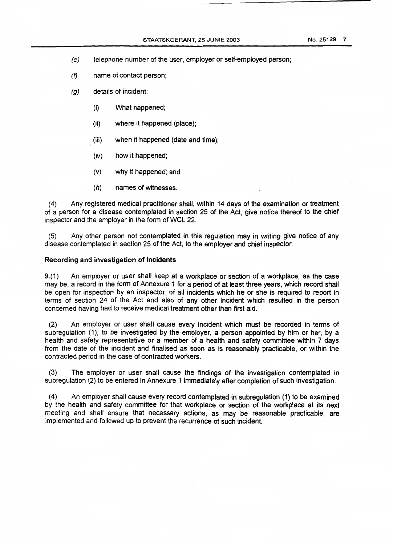- 
- (e) telephone number of the user, employer or self-employed person;
- $(f)$  name of contact person;
- *(9)* details of incident:
	- (i) What happened;
	- (ii) where it happened (place);
	- (iii) when it happened (date and time);
	- (iv) how it happened;
	- (v) why it happened; and
	- *(h)* names of witnesses.

(4) Any registered medical practitioner shall, within 14 days of the examination or treatment of a person for a disease contemplated in section 25 of the Act, give notice thereof to the chief inspector and the employer in the form of WCL 22.

(5) Any other person not contemplated in this regulation may in writing give notice of any disease contemplated in section 25 of the Act, to the employer and chief inspector.

#### **Recording and investigation of incidents**

**9.(1)** An employer or user shall keep at a workplace or section of a workplace, as the case may be, a record in the form of Annexure 1 for a period of at least three years, which record shall be open for inspection by an inspector, of all incidents which he or she is required to report in terms of section 24 of the Act and also of any other incident which resulted in the person concerned having had to receive medical treatment other than first aid.

(2) An employer or user shall cause every incident which must be recorded in terms of subregulation (1), to be investigated by the employer, a person appointed by him or her, by a health and safety representative or a member of a health and safety committee within **7** days from the date of the incident and finalised as soon as is reasonably practicable, or within the contracted period in the case of contracted workers.

(3) The employer or user shall cause the findings of the investigation contemplated in subregulation (2) to be entered in Annexure 1 immediately after completion of such investigation.

(4) An employer shall cause every record contemplated in subregulation (1) to be examined by the health and safety committee for that workplace or section of the workplace at its next meeting and shall ensure that necessary actions, as may be reasonable practicable, are implemented and followed up to prevent the recurrence of such incident.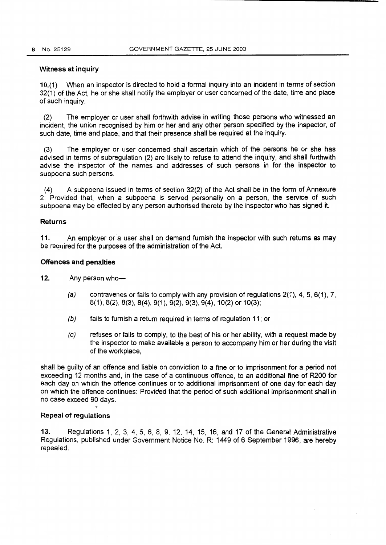#### Witness at inquiry

10.(1) When an inspector is directed to hold a formal inquiry into an incident in terms of section 32(1) of the Act, he or she shall notify the employer or user concerned of the date, time and place of such inquiry.

(2) The employer or user shall forthwith advise in writing those persons who witnessed an incident, the union recognised by him or her and any other person specified by the inspector, of such date, time and place, and that their presence shall be required at the inquiry.

(3) The employer or user concerned shall ascertain which of the persons he or she has advised in terms of subregulation (2) are likely to refuse to attend the inquiry, and shall forthwith advise the inspector of the names and addresses of such persons in for the inspector to subpoena such persons.

(4) A subpoena issued in **terms** of section 32(2) of the Act shall be in the form of Annexure 2: Provided that, when a subpoena **is** served personally on a person, the service of such subpoena may be effected by any person authorised thereto by the inspector who has signed it.

#### Returns

11. An employer or a user shall on demand furnish the inspector with such returns as may be required for the purposes of the administration of the Act.

#### Offences and penalties

12. Any person who-

- *(a)* contravenes or fails to comply with any provision of regulations 2(1), 4, **5,** 6(1), 7, 8(1)! 8(2), 8(3), 8(4), 9(1), 9(2), 9(3), 9(4), 10(2) or IO(3);
- *(b)* fails to furnish a retum required in terms of regulation 11 ; or
- *(c)* refuses or fails to comply, to the best of his or her ability, with a request made by the inspector to make available a person to accompany him or her during the visit of the workplace,

shall be guilty of an offence and liable on conviction to a fine or to imprisonment for a period not exceeding 12 months and, in the case of a continuous offence, to an additional fine of *WOO* for each day on which the offence continues or to additional imprisonment of one day for each day on which the offence continues: Provided that the period of such additional imprisonment shall in **no** case exceed 90 days.

#### Repeal **of** regulations

**t** 

13. Regulations 1, 2, 3, 4, 5, 6, 8, 9, 12, 14, 15, 16, and 17 of the General Administrative Regulations, published under Government Notice No. R: 1449 of 6 September 1996, are hereby repealed.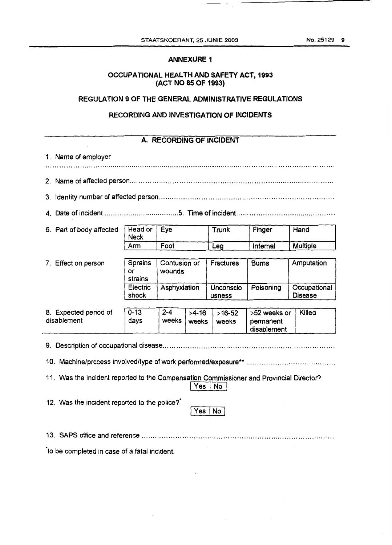#### **ANNEXURE 1**

#### **OCCUPATIONAL HEALTH AND SAFETY ACT, 1993 (ACT NO 85 OF 1993)**

#### **REGULATION 9 OF THE GENERAL ADMINISTRATIVE REGULATIONS**

#### **RECORDING AND INVESTIGATION OF INCIDENTS**

#### **A. RECORDING OF INCIDENT**  1. Name of employer ....................................................................................................................................... ... ,. 2. Name of affected person ............................................................................................. 3. Identity number of affected person .............................................................................. **4.**  Date of incident ....................................... **5.** Time **of** incident .............................................. Hand 6. Part of body affected Head or Eye **Trunk Finger** Finger Arm | Foot | Leg | Internal | Multiple Contusion or Sprains Fractures **7.**  Effect on person **Bums** Amputation wounds or strains Unconscio Electric Asphyxiation Poisoning Occupational shock **Disease** usness **8.**  Expected period of I 0-13 I **2-4** I >4-16 I >I642 I >52 weeks or I Killed disablement (days weeks weeks permanent disablement 9. Description of occupational disease ............................................................................ 10. Machine/process involvedltype of work performed/exposure\*\* ........................................ 11. Was the incident reported to the Compensation Commissioner and Provincial Director? <sup>I</sup>Yes 1 **NO** I 12. Was the incident reported to the police?' Yes | No 13. SAPS office and reference .....................................................................................

'to be completed in case of a fatal incident.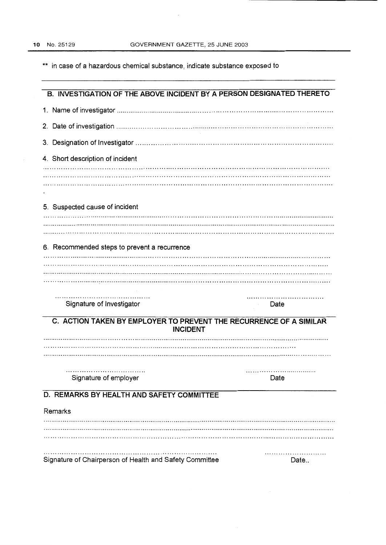$\ddot{\phantom{a}}$ 

\*\* in case of a hazardous chemical substance, indicate substance exposed to

| B. INVESTIGATION OF THE ABOVE INCIDENT BY A PERSON DESIGNATED THERETO                 |           |  |  |  |
|---------------------------------------------------------------------------------------|-----------|--|--|--|
|                                                                                       |           |  |  |  |
|                                                                                       |           |  |  |  |
|                                                                                       |           |  |  |  |
| 4. Short description of incident                                                      |           |  |  |  |
|                                                                                       |           |  |  |  |
|                                                                                       |           |  |  |  |
| 5. Suspected cause of incident                                                        |           |  |  |  |
|                                                                                       |           |  |  |  |
|                                                                                       |           |  |  |  |
| 6. Recommended steps to prevent a recurrence                                          |           |  |  |  |
|                                                                                       |           |  |  |  |
|                                                                                       |           |  |  |  |
|                                                                                       |           |  |  |  |
| Signature of Investigator                                                             | .<br>Date |  |  |  |
| C. ACTION TAKEN BY EMPLOYER TO PREVENT THE RECURRENCE OF A SIMILAR<br><b>INCIDENT</b> |           |  |  |  |
|                                                                                       |           |  |  |  |
|                                                                                       |           |  |  |  |
|                                                                                       |           |  |  |  |
| Signature of employer                                                                 | Date      |  |  |  |
| D. REMARKS BY HEALTH AND SAFETY COMMITTEE                                             |           |  |  |  |
| Remarks                                                                               |           |  |  |  |
|                                                                                       |           |  |  |  |
|                                                                                       |           |  |  |  |
|                                                                                       |           |  |  |  |
| Signature of Chairperson of Health and Safety Committee                               | Date      |  |  |  |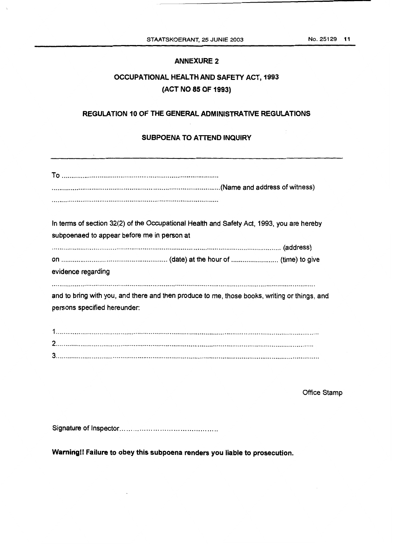#### **ANNEXURE 2**

# **OCCUPATIONAL HEALTH AND SAFETY ACT, 1993 (ACT NO 85 OF 1993)**

# **REGULATION 10 OF THE GENERAL ADMINISTRATWE REGULATIONS**

#### **SUBPOENA TO ATTEND INQUIRY**

| In terms of section 32(2) of the Occupational Health and Safety Act, 1993, you are hereby<br>subpoenaed to appear before me in person at |
|------------------------------------------------------------------------------------------------------------------------------------------|
| evidence regarding                                                                                                                       |
| and to bring with you, and there and then produce to me, those books, writing or things, and<br>persons specified hereunder:             |
|                                                                                                                                          |

Office Stamp

Signature of Inspector ............................................

**Warnirigll** Failure to **obey** this subpoena renders you liable to prosecution.